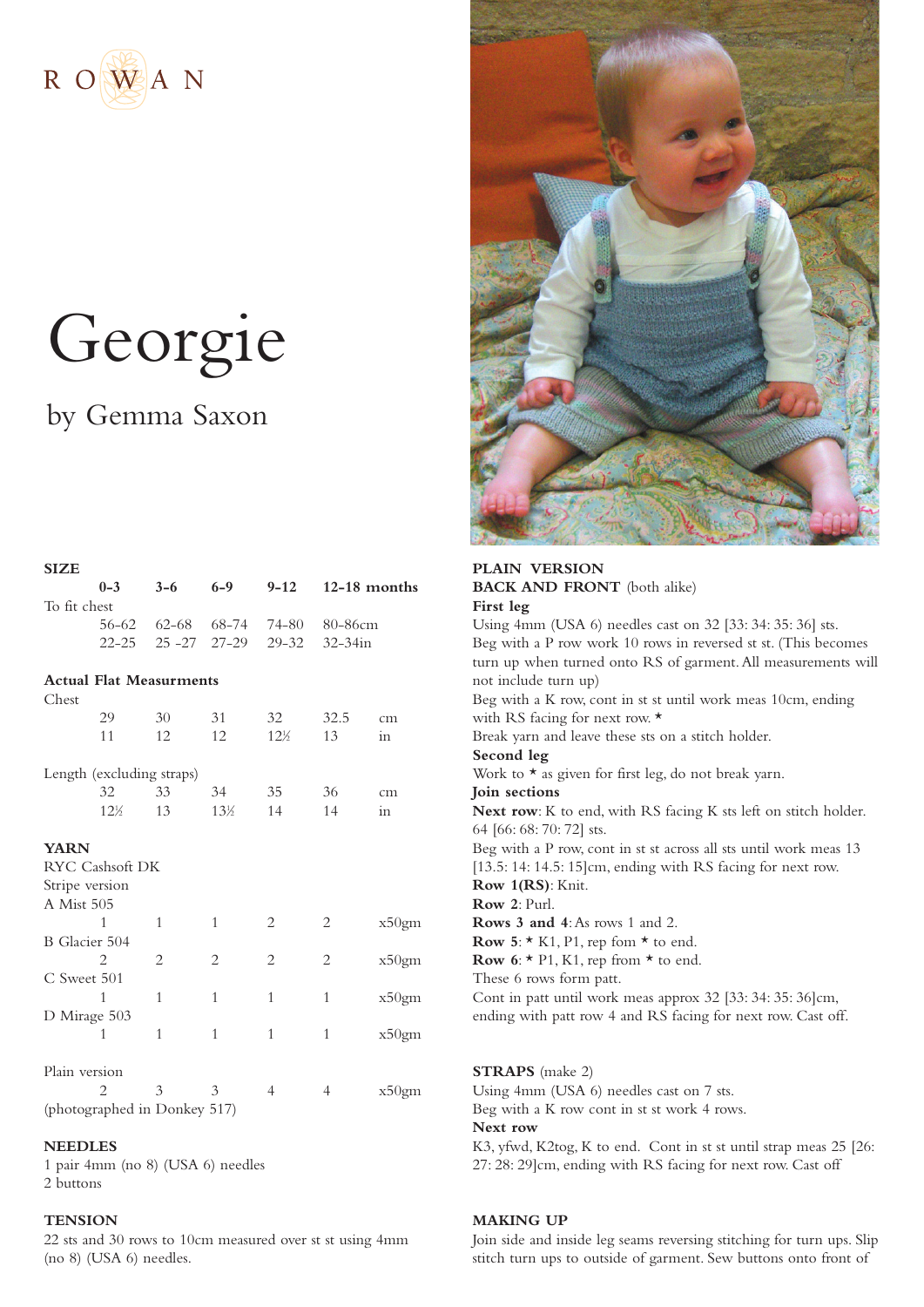

# Georgie

# by Gemma Saxon

**SIZE**



# **0-3 3-6 6-9 9-12 12-18 months**  To fit chest 56-62 62-68 68-74 74-80 80-86cm 22-25 25 -27 27-29 29-32 32-34in **Actual Flat Measurments** Chest 29 30 31 32 32.5 cm 11 12 12  $12^{1}$ ⁄2 13 in Length (excluding straps) 32 33 34 35 36 cm  $12\frac{1}{6}$ 13  $13\frac{1}{2}$  $\frac{2}{2}$  14 14 in **YARN** RYC Cashsoft DK Stripe version A Mist 505 1 1 1 2 2 x50gm B Glacier 504 2 2 2 2 x50gm C Sweet 501 1 1 1 1 1 x50gm D Mirage 503 1 1 1 1 x50gm Plain version 2 3 3 4 4 x50gm (photographed in Donkey 517)

### **NEEDLES**

1 pair 4mm (no 8) (USA 6) needles 2 buttons

#### **TENSION**

22 sts and 30 rows to 10cm measured over st st using 4mm (no 8) (USA 6) needles.

**BACK AND FRONT** (both alike) **First leg** Using 4mm (USA 6) needles cast on 32 [33: 34: 35: 36] sts. Beg with a P row work 10 rows in reversed st st. (This becomes turn up when turned onto RS of garment.All measurements will not include turn up) Beg with a K row, cont in st st until work meas 10cm, ending with RS facing for next row. \* Break yarn and leave these sts on a stitch holder. **Second leg** Work to  $\star$  as given for first leg, do not break yarn. **Join sections Next row**: K to end, with RS facing K sts left on stitch holder. 64 [66: 68: 70: 72] sts. Beg with a P row, cont in st st across all sts until work meas 13 [13.5: 14: 14.5: 15] cm, ending with RS facing for next row. **Row 1(RS)**: Knit. **Row 2**: Purl. **Rows 3 and 4**:As rows 1 and 2. **Row 5**:  $\star$  K1, P1, rep fom  $\star$  to end. **Row 6:**  $\star$  P1, K1, rep from  $\star$  to end. These 6 rows form patt. Cont in patt until work meas approx 32 [33: 34: 35: 36]cm, ending with patt row 4 and RS facing for next row. Cast off.

**STRAPS** (make 2) Using 4mm (USA 6) needles cast on 7 sts. Beg with a K row cont in st st work 4 rows. **Next row** K3, yfwd, K2tog, K to end. Cont in st st until strap meas 25 [26: 27: 28: 29]cm, ending with RS facing for next row. Cast off

### **MAKING UP**

Join side and inside leg seams reversing stitching for turn ups. Slip stitch turn ups to outside of garment. Sew buttons onto front of